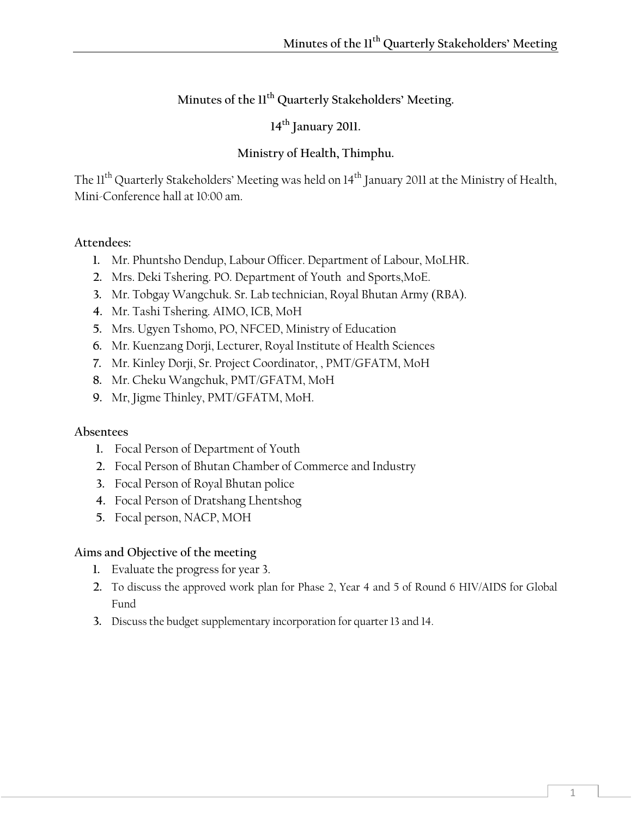# **Minutes of the 11th Quarterly Stakeholders' Meeting.**

**14th January 2011.** 

# **Ministry of Health, Thimphu.**

The 11<sup>th</sup> Quarterly Stakeholders' Meeting was held on 14<sup>th</sup> January 2011 at the Ministry of Health, Mini-Conference hall at 10:00 am.

#### **Attendees:**

- **1.** Mr. Phuntsho Dendup, Labour Officer. Department of Labour, MoLHR.
- **2.** Mrs. Deki Tshering. PO. Department of Youth and Sports,MoE.
- **3.** Mr. Tobgay Wangchuk. Sr. Lab technician, Royal Bhutan Army (RBA).
- **4.** Mr. Tashi Tshering. AIMO, ICB, MoH
- **5.** Mrs. Ugyen Tshomo, PO, NFCED, Ministry of Education
- **6.** Mr. Kuenzang Dorji, Lecturer, Royal Institute of Health Sciences
- **7.** Mr. Kinley Dorji, Sr. Project Coordinator, , PMT/GFATM, MoH
- **8.** Mr. Cheku Wangchuk, PMT/GFATM, MoH
- **9.** Mr, Jigme Thinley, PMT/GFATM, MoH.

#### **Absentees**

- **1.** Focal Person of Department of Youth
- **2.** Focal Person of Bhutan Chamber of Commerce and Industry
- **3.** Focal Person of Royal Bhutan police
- **4.** Focal Person of Dratshang Lhentshog
- **5.** Focal person, NACP, MOH

#### **Aims and Objective of the meeting**

- **1.** Evaluate the progress for year 3.
- **2.** To discuss the approved work plan for Phase 2, Year 4 and 5 of Round 6 HIV/AIDS for Global Fund
- **3.** Discuss the budget supplementary incorporation for quarter 13 and 14.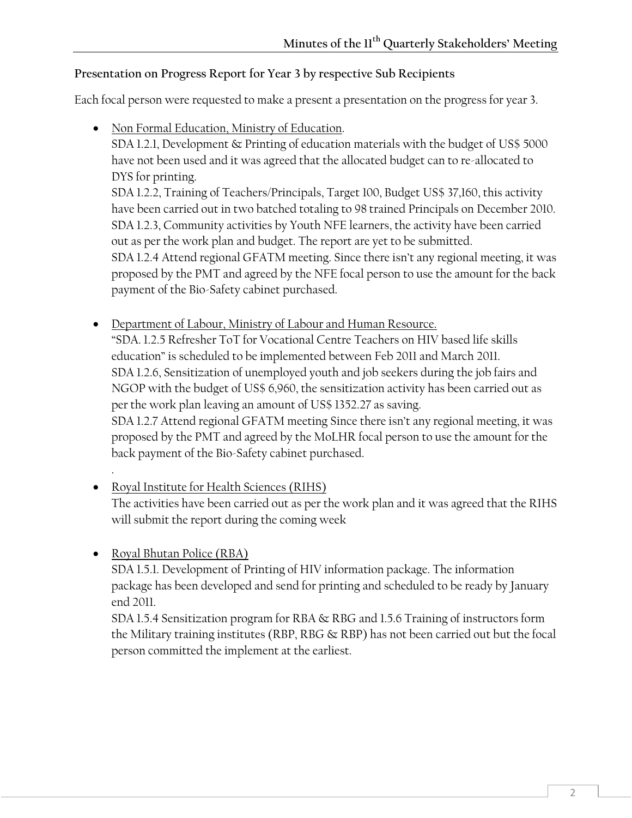### **Presentation on Progress Report for Year 3 by respective Sub Recipients**

Each focal person were requested to make a present a presentation on the progress for year 3.

• Non Formal Education, Ministry of Education.

SDA 1.2.1, Development & Printing of education materials with the budget of US\$ 5000 have not been used and it was agreed that the allocated budget can to re-allocated to DYS for printing.

SDA 1.2.2, Training of Teachers/Principals, Target 100, Budget US\$ 37,160, this activity have been carried out in two batched totaling to 98 trained Principals on December 2010. SDA 1.2.3, Community activities by Youth NFE learners, the activity have been carried out as per the work plan and budget. The report are yet to be submitted. SDA 1.2.4 Attend regional GFATM meeting. Since there isn't any regional meeting, it was proposed by the PMT and agreed by the NFE focal person to use the amount for the back payment of the Bio-Safety cabinet purchased.

- Department of Labour, Ministry of Labour and Human Resource. "SDA. 1.2.5 Refresher ToT for Vocational Centre Teachers on HIV based life skills education" is scheduled to be implemented between Feb 2011 and March 2011. SDA 1.2.6, Sensitization of unemployed youth and job seekers during the job fairs and NGOP with the budget of US\$ 6,960, the sensitization activity has been carried out as per the work plan leaving an amount of US\$ 1352.27 as saving. SDA 1.2.7 Attend regional GFATM meeting Since there isn't any regional meeting, it was proposed by the PMT and agreed by the MoLHR focal person to use the amount for the back payment of the Bio-Safety cabinet purchased.
- Royal Institute for Health Sciences (RIHS) The activities have been carried out as per the work plan and it was agreed that the RIHS will submit the report during the coming week
- Royal Bhutan Police (RBA)

.

SDA 1.5.1. Development of Printing of HIV information package. The information package has been developed and send for printing and scheduled to be ready by January end 2011.

SDA 1.5.4 Sensitization program for RBA & RBG and 1.5.6 Training of instructors form the Military training institutes (RBP, RBG & RBP) has not been carried out but the focal person committed the implement at the earliest.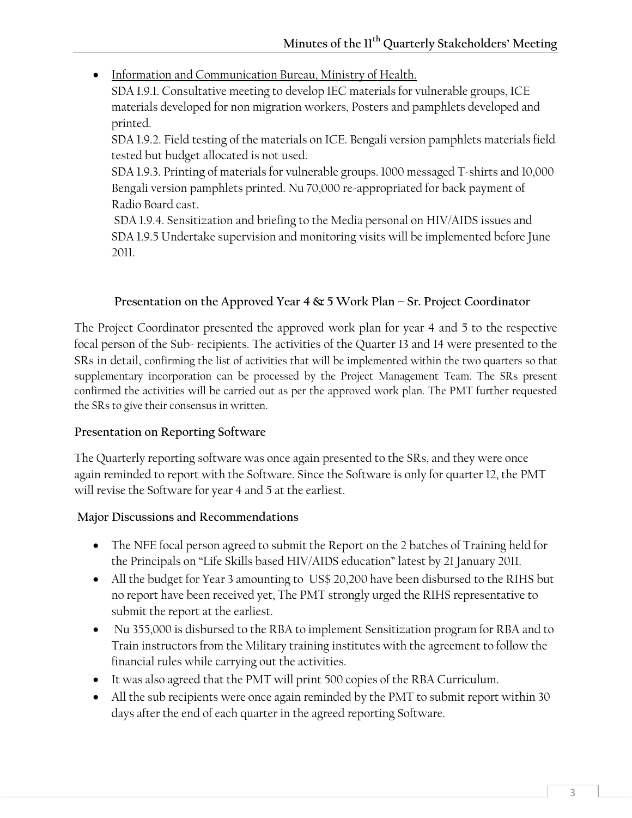• Information and Communication Bureau, Ministry of Health.

SDA 1.9.1. Consultative meeting to develop IEC materials for vulnerable groups, ICE materials developed for non migration workers, Posters and pamphlets developed and printed.

SDA 1.9.2. Field testing of the materials on ICE. Bengali version pamphlets materials field tested but budget allocated is not used.

SDA 1.9.3. Printing of materials for vulnerable groups. 1000 messaged T-shirts and 10,000 Bengali version pamphlets printed. Nu 70,000 re-appropriated for back payment of Radio Board cast.

 SDA 1.9.4. Sensitization and briefing to the Media personal on HIV/AIDS issues and SDA 1.9.5 Undertake supervision and monitoring visits will be implemented before June 2011.

### **Presentation on the Approved Year 4 & 5 Work Plan – Sr. Project Coordinator**

The Project Coordinator presented the approved work plan for year 4 and 5 to the respective focal person of the Sub- recipients. The activities of the Quarter 13 and 14 were presented to the SRs in detail, confirming the list of activities that will be implemented within the two quarters so that supplementary incorporation can be processed by the Project Management Team. The SRs present confirmed the activities will be carried out as per the approved work plan. The PMT further requested the SRs to give their consensus in written.

#### **Presentation on Reporting Software**

The Quarterly reporting software was once again presented to the SRs, and they were once again reminded to report with the Software. Since the Software is only for quarter 12, the PMT will revise the Software for year 4 and 5 at the earliest.

#### **Major Discussions and Recommendations**

- The NFE focal person agreed to submit the Report on the 2 batches of Training held for the Principals on "Life Skills based HIV/AIDS education" latest by 21 January 2011.
- All the budget for Year 3 amounting to US\$ 20,200 have been disbursed to the RIHS but no report have been received yet, The PMT strongly urged the RIHS representative to submit the report at the earliest.
- Nu 355,000 is disbursed to the RBA to implement Sensitization program for RBA and to Train instructors from the Military training institutes with the agreement to follow the financial rules while carrying out the activities.
- It was also agreed that the PMT will print 500 copies of the RBA Curriculum.
- All the sub recipients were once again reminded by the PMT to submit report within 30 days after the end of each quarter in the agreed reporting Software.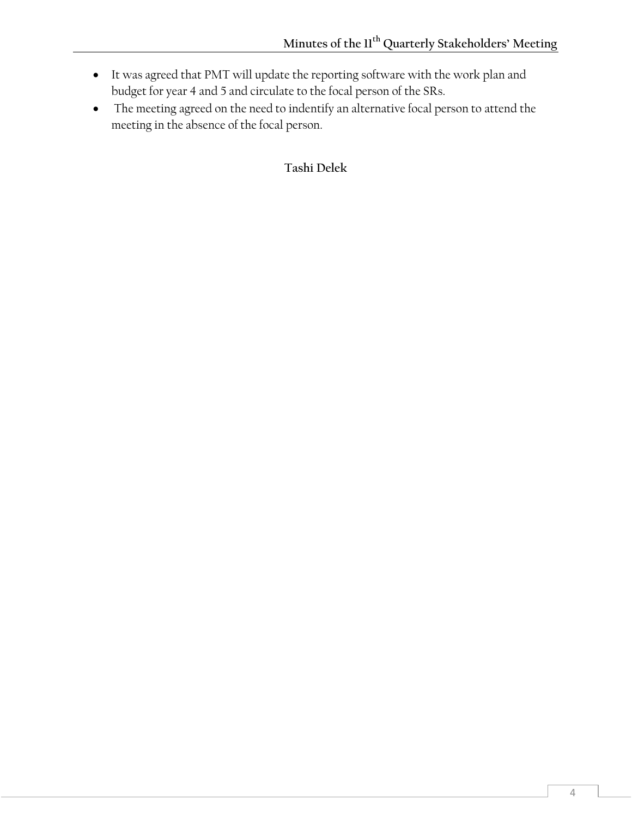- It was agreed that PMT will update the reporting software with the work plan and budget for year 4 and 5 and circulate to the focal person of the SRs.
- The meeting agreed on the need to indentify an alternative focal person to attend the meeting in the absence of the focal person.

**Tashi Delek**